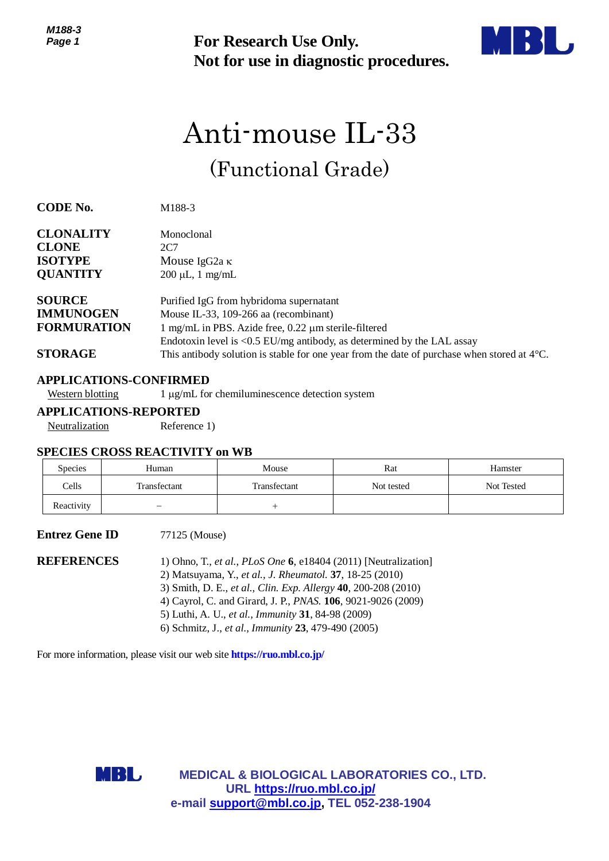

# Anti-mouse IL-33 (Functional Grade)

| ר טט ויו<br>Page 1                                                        |                                                                                | <b>For Research Use Only.</b><br>Not for use in diagnostic procedures.                                                                                                                                                                                                                                                                                                                                                                                         |            |            |  |  |
|---------------------------------------------------------------------------|--------------------------------------------------------------------------------|----------------------------------------------------------------------------------------------------------------------------------------------------------------------------------------------------------------------------------------------------------------------------------------------------------------------------------------------------------------------------------------------------------------------------------------------------------------|------------|------------|--|--|
|                                                                           |                                                                                | Anti-mouse IL-33                                                                                                                                                                                                                                                                                                                                                                                                                                               |            |            |  |  |
|                                                                           |                                                                                | (Functional Grade)                                                                                                                                                                                                                                                                                                                                                                                                                                             |            |            |  |  |
| <b>CODE No.</b>                                                           | M188-3                                                                         |                                                                                                                                                                                                                                                                                                                                                                                                                                                                |            |            |  |  |
| <b>CLONALITY</b><br><b>CLONE</b><br><b>ISOTYPE</b><br><b>QUANTITY</b>     | Monoclonal<br>2C7<br>Mouse IgG <sub>2a</sub> $\kappa$<br>$200 \mu L$ , 1 mg/mL |                                                                                                                                                                                                                                                                                                                                                                                                                                                                |            |            |  |  |
| <b>SOURCE</b><br><b>IMMUNOGEN</b><br><b>FORMURATION</b><br><b>STORAGE</b> |                                                                                | Purified IgG from hybridoma supernatant<br>Mouse IL-33, 109-266 aa (recombinant)<br>1 mg/mL in PBS. Azide free, 0.22 µm sterile-filtered<br>Endotoxin level is <0.5 EU/mg antibody, as determined by the LAL assay<br>This antibody solution is stable for one year from the date of purchase when stored at $4^{\circ}$ C.                                                                                                                                    |            |            |  |  |
|                                                                           | <b>APPLICATIONS-CONFIRMED</b>                                                  |                                                                                                                                                                                                                                                                                                                                                                                                                                                                |            |            |  |  |
| <b>Western blotting</b>                                                   |                                                                                | 1 µg/mL for chemiluminescence detection system                                                                                                                                                                                                                                                                                                                                                                                                                 |            |            |  |  |
| Neutralization                                                            | <b>APPLICATIONS-REPORTED</b><br>Reference 1)                                   |                                                                                                                                                                                                                                                                                                                                                                                                                                                                |            |            |  |  |
|                                                                           |                                                                                |                                                                                                                                                                                                                                                                                                                                                                                                                                                                |            |            |  |  |
|                                                                           | <b>SPECIES CROSS REACTIVITY on WB</b>                                          |                                                                                                                                                                                                                                                                                                                                                                                                                                                                |            |            |  |  |
| Species                                                                   | Human                                                                          | Mouse                                                                                                                                                                                                                                                                                                                                                                                                                                                          | Rat        | Hamster    |  |  |
| Cells                                                                     | Transfectant                                                                   | Transfectant                                                                                                                                                                                                                                                                                                                                                                                                                                                   | Not tested | Not Tested |  |  |
| Reactivity                                                                |                                                                                | $^{+}$                                                                                                                                                                                                                                                                                                                                                                                                                                                         |            |            |  |  |
| <b>Entrez Gene ID</b>                                                     | 77125 (Mouse)                                                                  |                                                                                                                                                                                                                                                                                                                                                                                                                                                                |            |            |  |  |
| <b>REFERENCES</b>                                                         |                                                                                | 1) Ohno, T., et al., PLoS One $6$ , e18404 (2011) [Neutralization]<br>2) Matsuyama, Y., et al., J. Rheumatol. 37, 18-25 (2010)<br>3) Smith, D. E., et al., Clin. Exp. Allergy 40, 200-208 (2010)<br>4) Cayrol, C. and Girard, J. P., PNAS. 106, 9021-9026 (2009)<br>5) Luthi, A. U., et al., Immunity 31, 84-98 (2009)<br>6) Schmitz, J., et al., Immunity 23, 479-490 (2005)<br>For more information, please visit our web site <b>https://ruo.mbl.co.jp/</b> |            |            |  |  |
|                                                                           |                                                                                |                                                                                                                                                                                                                                                                                                                                                                                                                                                                |            |            |  |  |
|                                                                           | MBL,                                                                           | <b>MEDICAL &amp; BIOLOGICAL LABORATORIES CO., LTD.</b><br>URL https://ruo.mbl.co.jp/<br>e-mail support@mbl.co.jp, TEL 052-238-1904                                                                                                                                                                                                                                                                                                                             |            |            |  |  |

## **APPLICATIONS-CONFIRMED**

#### **SPECIES CROSS REACTIVITY on WB**

| <b>Species</b> | Human        | Mouse        | Rat        | Hamster    |
|----------------|--------------|--------------|------------|------------|
| Cells          | Transfectant | Transfectant | Not tested | Not Tested |
| Reactivity     |              |              |            |            |

#### **Entrez Gene ID** 77125 (Mouse)

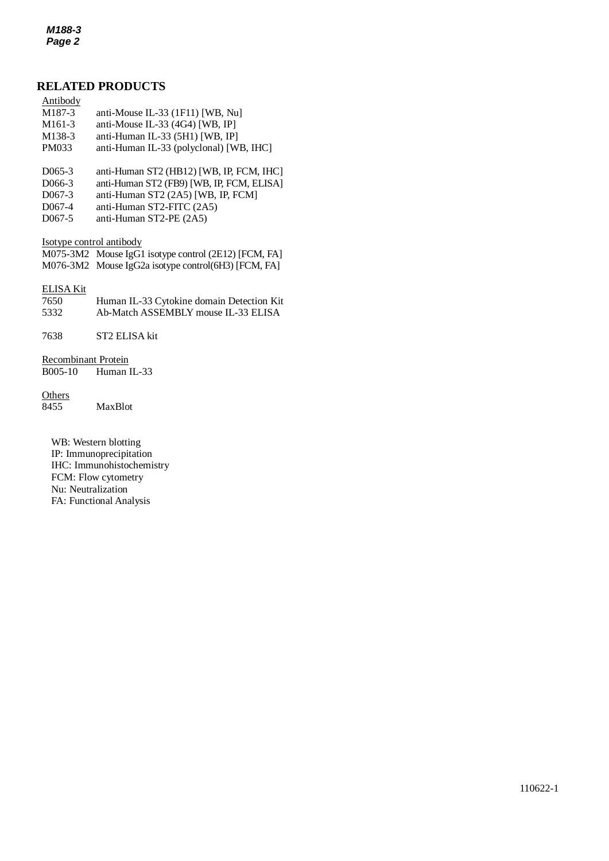### **RELATED PRODUCTS**

| Antibody |                       |  |
|----------|-----------------------|--|
| M1972    | onti Mouse II $33(1)$ |  |

- *2* M187-3 anti-Mouse IL-33 (1F11) [WB, Nu] M161-3 anti-Mouse IL-33 (4G4) [WB, IP]
- M138-3 anti-Human IL-33 (5H1) [WB, IP]
- PM033 anti-Human IL-33 (polyclonal) [WB, IHC]
- D065-3 anti-Human ST2 (HB12) [WB, IP, FCM, IHC]
- D066-3 anti-Human ST2 (FB9) [WB, IP, FCM, ELISA]
- D067-3 anti-Human ST2 (2A5) [WB, IP, FCM]
- D067-4 anti-Human ST2-FITC (2A5)
- D067-5 anti-Human ST2-PE (2A5)

Isotype control antibody

M075-3M2 Mouse IgG1 isotype control (2E12) [FCM, FA] M076-3M2 Mouse IgG2a isotype control(6H3) [FCM, FA]

#### ELISA Kit

| 7650 | Human IL-33 Cytokine domain Detection Kit |
|------|-------------------------------------------|
| 5332 | Ab-Match ASSEMBLY mouse IL-33 ELISA       |

7638 ST2 ELISA kit

Recombinant Protein B005-10 Human IL-33

#### **Others**

8455 MaxBlot

WB: Western blotting IP: Immunoprecipitation IHC: Immunohistochemistry FCM: Flow cytometry Nu: Neutralization FA: Functional Analysis